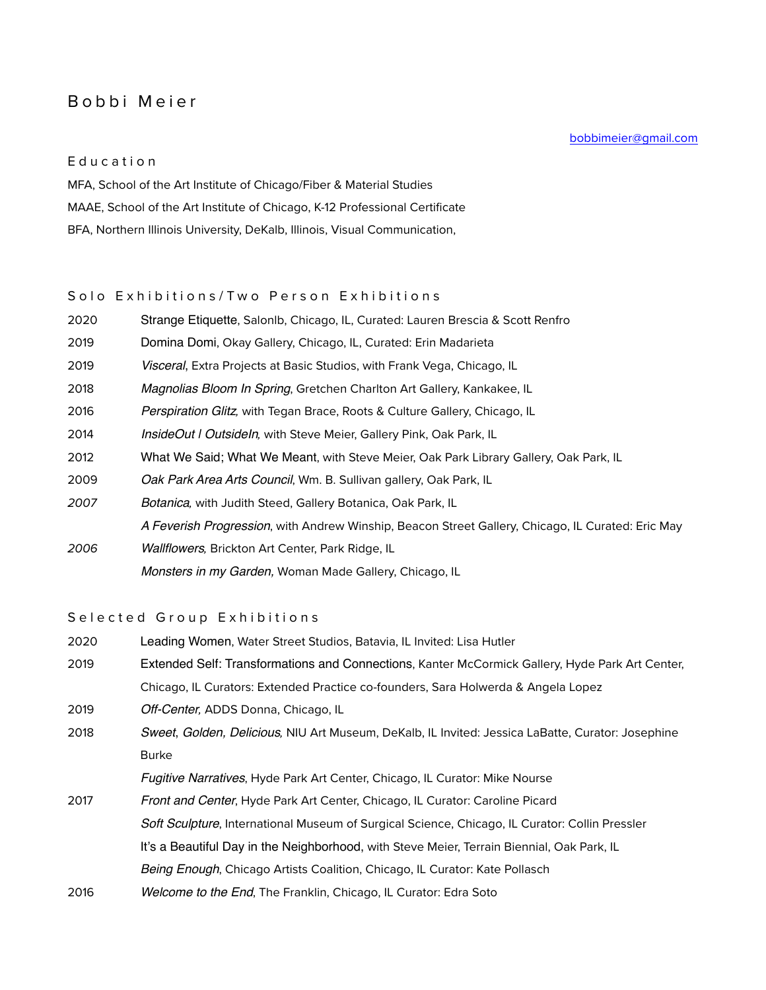# Bobbi Meier

#### Education

MFA, School of the Art Institute of Chicago/Fiber & Material Studies MAAE, School of the Art Institute of Chicago, K-12 Professional Certificate BFA, Northern Illinois University, DeKalb, Illinois, Visual Communication,

## Solo Exhibitions/Two Person Exhibitions

| 2020 | Strange Etiquette, Salonlb, Chicago, IL, Curated: Lauren Brescia & Scott Renfro                   |
|------|---------------------------------------------------------------------------------------------------|
| 2019 | Domina Domi, Okay Gallery, Chicago, IL, Curated: Erin Madarieta                                   |
| 2019 | <i>Visceral</i> , Extra Projects at Basic Studios, with Frank Vega, Chicago, IL                   |
| 2018 | Magnolias Bloom In Spring, Gretchen Charlton Art Gallery, Kankakee, IL                            |
| 2016 | <i>Perspiration Glitz</i> , with Tegan Brace, Roots & Culture Gallery, Chicago, IL                |
| 2014 | <i>InsideOut   Outsideln, with Steve Meier, Gallery Pink, Oak Park, IL</i>                        |
| 2012 | What We Said; What We Meant, with Steve Meier, Oak Park Library Gallery, Oak Park, IL             |
| 2009 | Oak Park Area Arts Council, Wm. B. Sullivan gallery, Oak Park, IL                                 |
| 2007 | Botanica, with Judith Steed, Gallery Botanica, Oak Park, IL                                       |
|      | A Feverish Progression, with Andrew Winship, Beacon Street Gallery, Chicago, IL Curated: Eric May |
| 2006 | <i>Wallflowers</i> , Brickton Art Center, Park Ridge, IL                                          |
|      |                                                                                                   |

*Monsters in my Garden,* Woman Made Gallery, Chicago, IL

### Selected Group Exhibitions

2020 Leading Women, Water Street Studios, Batavia, IL Invited: Lisa Hutler 2019 Extended Self: Transformations and Connections, Kanter McCormick Gallery, Hyde Park Art Center, Chicago, IL Curators: Extended Practice co-founders, Sara Holwerda & Angela Lopez

2019 *Off-Center,* ADDS Donna, Chicago, IL

2018 *Sweet*, *Golden, Delicious,* NIU Art Museum, DeKalb, IL Invited: Jessica LaBatte, Curator: Josephine Burke

*Fugitive Narratives*, Hyde Park Art Center, Chicago, IL Curator: Mike Nourse

- 2017 *Front and Center*, Hyde Park Art Center, Chicago, IL Curator: Caroline Picard *Soft Sculpture*, International Museum of Surgical Science, Chicago, IL Curator: Collin Pressler It's a Beautiful Day in the Neighborhood, with Steve Meier, Terrain Biennial, Oak Park, IL *Being Enough*, Chicago Artists Coalition, Chicago, IL Curator: Kate Pollasch
- 2016 *Welcome to the End*, The Franklin, Chicago, IL Curator: Edra Soto

[bobbimeier@gmail.com](mailto:bobbimeier@gmail.com)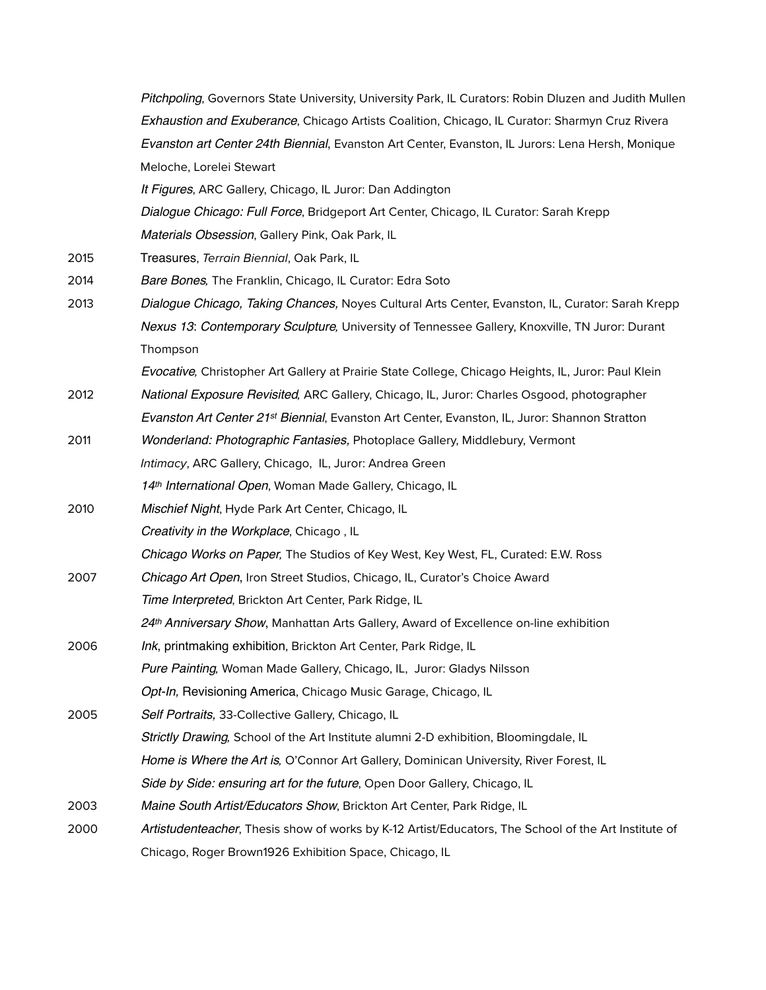|      | Pitchpoling, Governors State University, University Park, IL Curators: Robin Dluzen and Judith Mullen     |
|------|-----------------------------------------------------------------------------------------------------------|
|      | Exhaustion and Exuberance, Chicago Artists Coalition, Chicago, IL Curator: Sharmyn Cruz Rivera            |
|      | Evanston art Center 24th Biennial, Evanston Art Center, Evanston, IL Jurors: Lena Hersh, Monique          |
|      | Meloche, Lorelei Stewart                                                                                  |
|      | It Figures, ARC Gallery, Chicago, IL Juror: Dan Addington                                                 |
|      | Dialogue Chicago: Full Force, Bridgeport Art Center, Chicago, IL Curator: Sarah Krepp                     |
|      | Materials Obsession, Gallery Pink, Oak Park, IL                                                           |
| 2015 | Treasures, Terrain Biennial, Oak Park, IL                                                                 |
| 2014 | Bare Bones, The Franklin, Chicago, IL Curator: Edra Soto                                                  |
| 2013 | Dialogue Chicago, Taking Chances, Noyes Cultural Arts Center, Evanston, IL, Curator: Sarah Krepp          |
|      | Nexus 13: Contemporary Sculpture, University of Tennessee Gallery, Knoxville, TN Juror: Durant            |
|      | Thompson                                                                                                  |
|      | Evocative, Christopher Art Gallery at Prairie State College, Chicago Heights, IL, Juror: Paul Klein       |
| 2012 | National Exposure Revisited, ARC Gallery, Chicago, IL, Juror: Charles Osgood, photographer                |
|      | Evanston Art Center 21 <sup>st</sup> Biennial, Evanston Art Center, Evanston, IL, Juror: Shannon Stratton |
| 2011 | Wonderland: Photographic Fantasies, Photoplace Gallery, Middlebury, Vermont                               |
|      | Intimacy, ARC Gallery, Chicago, IL, Juror: Andrea Green                                                   |
|      | 14th International Open, Woman Made Gallery, Chicago, IL                                                  |
| 2010 | Mischief Night, Hyde Park Art Center, Chicago, IL                                                         |
|      | Creativity in the Workplace, Chicago, IL                                                                  |
|      | Chicago Works on Paper, The Studios of Key West, Key West, FL, Curated: E.W. Ross                         |
| 2007 | Chicago Art Open, Iron Street Studios, Chicago, IL, Curator's Choice Award                                |
|      | Time Interpreted, Brickton Art Center, Park Ridge, IL                                                     |
|      | 24th Anniversary Show, Manhattan Arts Gallery, Award of Excellence on-line exhibition                     |
| 2006 | Ink, printmaking exhibition, Brickton Art Center, Park Ridge, IL                                          |
|      | Pure Painting, Woman Made Gallery, Chicago, IL, Juror: Gladys Nilsson                                     |
|      | Opt-In, Revisioning America, Chicago Music Garage, Chicago, IL                                            |
| 2005 | Self Portraits, 33-Collective Gallery, Chicago, IL                                                        |
|      | Strictly Drawing, School of the Art Institute alumni 2-D exhibition, Bloomingdale, IL                     |
|      | Home is Where the Art is, O'Connor Art Gallery, Dominican University, River Forest, IL                    |
|      | Side by Side: ensuring art for the future, Open Door Gallery, Chicago, IL                                 |
| 2003 | Maine South Artist/Educators Show, Brickton Art Center, Park Ridge, IL                                    |
| 2000 | Artistudenteacher, Thesis show of works by K-12 Artist/Educators, The School of the Art Institute of      |
|      | Chicago, Roger Brown1926 Exhibition Space, Chicago, IL                                                    |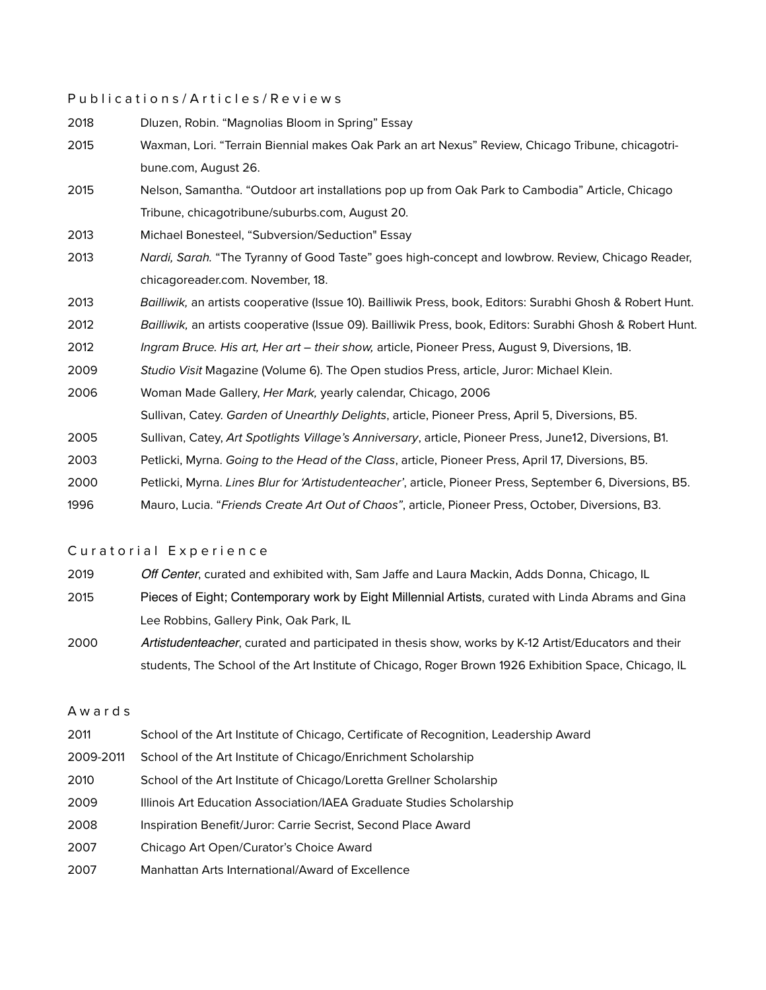#### Publications/Articles/Reviews

| 2018 | Dluzen, Robin. "Magnolias Bloom in Spring" Essay                                                           |
|------|------------------------------------------------------------------------------------------------------------|
| 2015 | Waxman, Lori. "Terrain Biennial makes Oak Park an art Nexus" Review, Chicago Tribune, chicagotri-          |
|      | bune.com, August 26.                                                                                       |
| 2015 | Nelson, Samantha. "Outdoor art installations pop up from Oak Park to Cambodia" Article, Chicago            |
|      | Tribune, chicagotribune/suburbs.com, August 20.                                                            |
| 2013 | Michael Bonesteel, "Subversion/Seduction" Essay                                                            |
| 2013 | Nardi, Sarah. "The Tyranny of Good Taste" goes high-concept and lowbrow. Review, Chicago Reader,           |
|      | chicagoreader.com. November, 18.                                                                           |
| 2013 | Bailliwik, an artists cooperative (Issue 10). Bailliwik Press, book, Editors: Surabhi Ghosh & Robert Hunt. |
| 2012 | Bailliwik, an artists cooperative (Issue 09). Bailliwik Press, book, Editors: Surabhi Ghosh & Robert Hunt. |
| 2012 | Ingram Bruce. His art, Her art - their show, article, Pioneer Press, August 9, Diversions, 1B.             |
| 2009 | Studio Visit Magazine (Volume 6). The Open studios Press, article, Juror: Michael Klein.                   |
| 2006 | Woman Made Gallery, Her Mark, yearly calendar, Chicago, 2006                                               |
|      | Sullivan, Catey. Garden of Unearthly Delights, article, Pioneer Press, April 5, Diversions, B5.            |
| 2005 | Sullivan, Catey, Art Spotlights Village's Anniversary, article, Pioneer Press, June12, Diversions, B1.     |
| 2003 | Petlicki, Myrna. Going to the Head of the Class, article, Pioneer Press, April 17, Diversions, B5.         |
| 2000 | Petlicki, Myrna. Lines Blur for 'Artistudenteacher', article, Pioneer Press, September 6, Diversions, B5.  |
| 1996 | Mauro, Lucia. "Friends Create Art Out of Chaos", article, Pioneer Press, October, Diversions, B3.          |

#### Curatorial Experience

- 2019 *Off Center*, curated and exhibited with, Sam Jaffe and Laura Mackin, Adds Donna, Chicago, IL
- 2015 Pieces of Eight; Contemporary work by Eight Millennial Artists, curated with Linda Abrams and Gina Lee Robbins, Gallery Pink, Oak Park, IL
- 2000 *Artistudenteacher*, curated and participated in thesis show, works by K-12 Artist/Educators and their students, The School of the Art Institute of Chicago, Roger Brown 1926 Exhibition Space, Chicago, IL

### Awards

- 2011 School of the Art Institute of Chicago, Certificate of Recognition, Leadership Award
- 2009-2011 School of the Art Institute of Chicago/Enrichment Scholarship
- 2010 School of the Art Institute of Chicago/Loretta Grellner Scholarship
- 2009 Illinois Art Education Association/IAEA Graduate Studies Scholarship
- 2008 Inspiration Benefit/Juror: Carrie Secrist, Second Place Award
- 2007 Chicago Art Open/Curator's Choice Award
- 2007 Manhattan Arts International/Award of Excellence